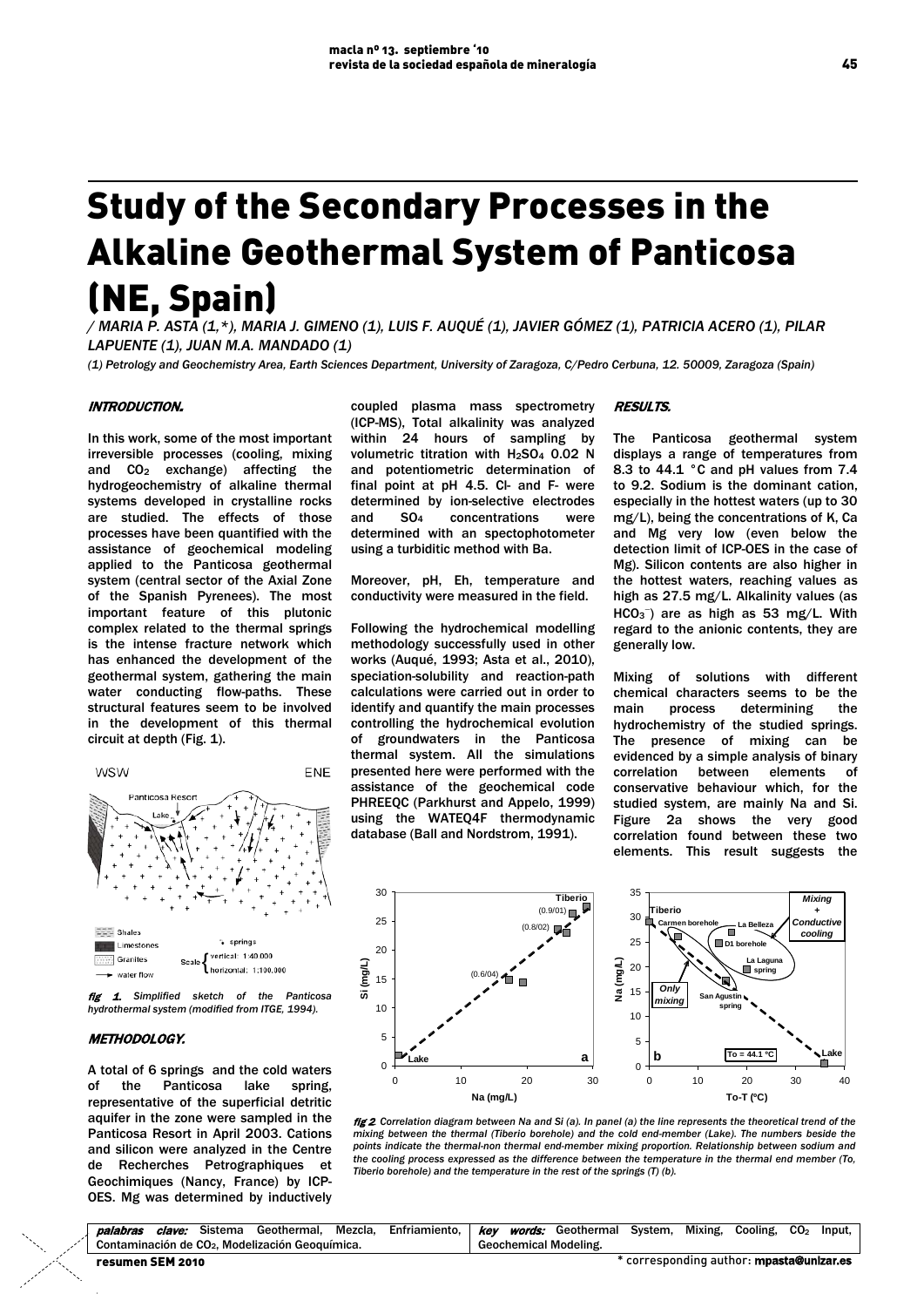# Study of the Secondary Processes in the Alkaline Geothermal System of Panticosa (NE, Spain)

*/ MARIA P. ASTA (1,\*), MARIA J. GIMENO (1), LUIS F. AUQUÉ (1), JAVIER GÓMEZ (1), PATRICIA ACERO (1), PILAR LAPUENTE (1), JUAN M.A. MANDADO (1)*

*(1) Petrology and Geochemistry Area, Earth Sciences Department, University of Zaragoza, C/Pedro Cerbuna, 12. 50009, Zaragoza (Spain)* 

# INTRODUCTION.

In this work, some of the most important irreversible processes (cooling, mixing and CO<sub>2</sub> exchange) affecting the hydrogeochemistry of alkaline thermal systems developed in crystalline rocks are studied. The effects of those processes have been quantified with the assistance of geochemical modeling applied to the Panticosa geothermal system (central sector of the Axial Zone of the Spanish Pyrenees). The most important feature of this plutonic complex related to the thermal springs is the intense fracture network which has enhanced the development of the geothermal system, gathering the main water conducting flow-paths. These structural features seem to be involved in the development of this thermal circuit at depth (Fig. 1).





# METHODOLOGY.

A total of 6 springs and the cold waters of the Panticosa lake spring, representative of the superficial detritic aquifer in the zone were sampled in the Panticosa Resort in April 2003. Cations and silicon were analyzed in the Centre de Recherches Petrographiques et Geochimiques (Nancy, France) by ICP-OES. Mg was determined by inductively

coupled plasma mass spectrometry (ICP-MS), Total alkalinity was analyzed within 24 hours of sampling by volumetric titration with H2SO4 0.02 N and potentiometric determination of final point at pH 4.5. Cl- and F- were determined by ion-selective electrodes and SO4 concentrations were determined with an spectophotometer using a turbiditic method with Ba.

Moreover, pH, Eh, temperature and conductivity were measured in the field.

Following the hydrochemical modelling methodology successfully used in other works (Auqué, 1993; Asta et al., 2010), speciation-solubility and reaction-path calculations were carried out in order to identify and quantify the main processes controlling the hydrochemical evolution of groundwaters in the Panticosa thermal system. All the simulations presented here were performed with the assistance of the geochemical code PHREEQC (Parkhurst and Appelo, 1999) using the WATEQ4F thermodynamic database (Ball and Nordstrom, 1991).

#### **RESULTS**

The Panticosa geothermal system displays a range of temperatures from 8.3 to 44.1 °C and pH values from 7.4 to 9.2. Sodium is the dominant cation, especially in the hottest waters (up to 30 mg/L), being the concentrations of K, Ca and Mg very low (even below the detection limit of ICP-OES in the case of Mg). Silicon contents are also higher in the hottest waters, reaching values as high as 27.5 mg/L. Alkalinity values (as HCO<sub>3</sub><sup>-</sup>) are as high as 53 mg/L. With regard to the anionic contents, they are generally low.

Mixing of solutions with different chemical characters seems to be the main process determining the hydrochemistry of the studied springs. The presence of mixing can be evidenced by a simple analysis of binary correlation between elements of conservative behaviour which, for the studied system, are mainly Na and Si. Figure 2a shows the very good correlation found between these two elements. This result suggests the



fig 2*. Correlation diagram between Na and Si (a). In panel (a) the line represents the theoretical trend of the* mixing between the thermal (Tiberio borehole) and the cold end-member (Lake). The numbers beside the<br>points indicate the thermal-non thermal end-member mixing proportion. Relationship between sodium and *the cooling process expressed as the difference between the temperature in the thermal end member (To, Tiberio borehole) and the temperature in the rest of the springs (T) (b).* 

| palabras         |                                                             |  |  |  | <i>clave:</i> Sistema Geothermal, Mezcla, Enfriamiento,   key words: Geothermal System, Mixing, Cooling, CO <sub>2</sub> Input, |  |                              |  |                                                            |  |  |  |  |  |
|------------------|-------------------------------------------------------------|--|--|--|---------------------------------------------------------------------------------------------------------------------------------|--|------------------------------|--|------------------------------------------------------------|--|--|--|--|--|
|                  | Contaminación de CO <sub>2</sub> , Modelización Geoguímica, |  |  |  |                                                                                                                                 |  | <b>Geochemical Modeling.</b> |  |                                                            |  |  |  |  |  |
| resumen SEM 2010 |                                                             |  |  |  |                                                                                                                                 |  |                              |  | <sup>*</sup> corresponding author: <b>mpasta@unizar.es</b> |  |  |  |  |  |